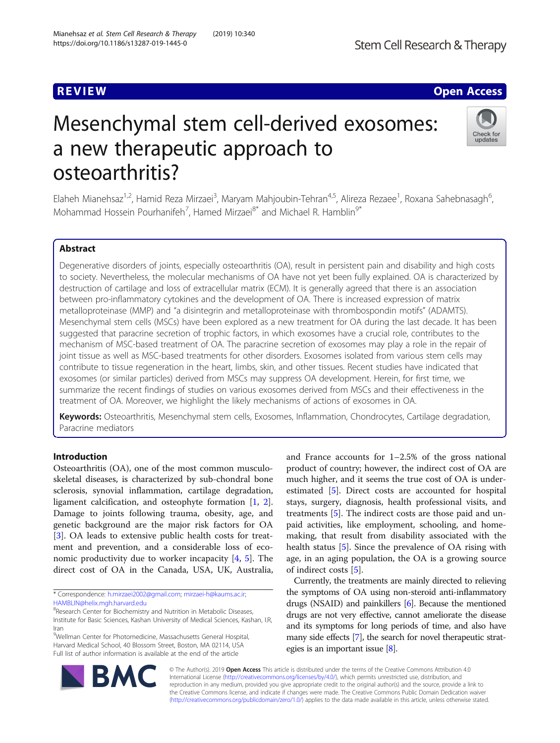# **REVIEW ACCESS AND LOCAL CONTRACT CONTRACT OF ACCESS**

# Mesenchymal stem cell-derived exosomes: a new therapeutic approach to osteoarthritis?



Elaheh Mianehsaz<sup>1,2</sup>, Hamid Reza Mirzaei<sup>3</sup>, Maryam Mahjoubin-Tehran<sup>4,5</sup>, Alireza Rezaee<sup>1</sup>, Roxana Sahebnasagh<sup>6</sup> , Mohammad Hossein Pourhanifeh<sup>7</sup>, Hamed Mirzaei<sup>8\*</sup> and Michael R. Hamblin<sup>9\*</sup>

# Abstract

Degenerative disorders of joints, especially osteoarthritis (OA), result in persistent pain and disability and high costs to society. Nevertheless, the molecular mechanisms of OA have not yet been fully explained. OA is characterized by destruction of cartilage and loss of extracellular matrix (ECM). It is generally agreed that there is an association between pro-inflammatory cytokines and the development of OA. There is increased expression of matrix metalloproteinase (MMP) and "a disintegrin and metalloproteinase with thrombospondin motifs" (ADAMTS). Mesenchymal stem cells (MSCs) have been explored as a new treatment for OA during the last decade. It has been suggested that paracrine secretion of trophic factors, in which exosomes have a crucial role, contributes to the mechanism of MSC-based treatment of OA. The paracrine secretion of exosomes may play a role in the repair of joint tissue as well as MSC-based treatments for other disorders. Exosomes isolated from various stem cells may contribute to tissue regeneration in the heart, limbs, skin, and other tissues. Recent studies have indicated that exosomes (or similar particles) derived from MSCs may suppress OA development. Herein, for first time, we summarize the recent findings of studies on various exosomes derived from MSCs and their effectiveness in the treatment of OA. Moreover, we highlight the likely mechanisms of actions of exosomes in OA.

Keywords: Osteoarthritis, Mesenchymal stem cells, Exosomes, Inflammation, Chondrocytes, Cartilage degradation, Paracrine mediators

# Introduction

Osteoarthritis (OA), one of the most common musculoskeletal diseases, is characterized by sub-chondral bone sclerosis, synovial inflammation, cartilage degradation, ligament calcification, and osteophyte formation [[1,](#page-9-0) [2](#page-9-0)]. Damage to joints following trauma, obesity, age, and genetic background are the major risk factors for OA [[3\]](#page-9-0). OA leads to extensive public health costs for treatment and prevention, and a considerable loss of economic productivity due to worker incapacity [[4,](#page-9-0) [5](#page-9-0)]. The direct cost of OA in the Canada, USA, UK, Australia,

\* Correspondence: [h.mirzaei2002@gmail.com](mailto:h.mirzaei2002@gmail.com); [mirzaei-h@kaums.ac.ir;](mailto:mirzaei-h@kaums.ac.ir) [HAMBLIN@helix.mgh.harvard.edu](mailto:HAMBLIN@helix.mgh.harvard.edu)

9 Wellman Center for Photomedicine, Massachusetts General Hospital, Harvard Medical School, 40 Blossom Street, Boston, MA 02114, USA Full list of author information is available at the end of the article

and France accounts for 1–2.5% of the gross national product of country; however, the indirect cost of OA are much higher, and it seems the true cost of OA is underestimated [[5](#page-9-0)]. Direct costs are accounted for hospital stays, surgery, diagnosis, health professional visits, and treatments [[5\]](#page-9-0). The indirect costs are those paid and unpaid activities, like employment, schooling, and homemaking, that result from disability associated with the health status [\[5](#page-9-0)]. Since the prevalence of OA rising with age, in an aging population, the OA is a growing source of indirect costs [\[5](#page-9-0)].

Currently, the treatments are mainly directed to relieving the symptoms of OA using non-steroid anti-inflammatory drugs (NSAID) and painkillers [[6](#page-9-0)]. Because the mentioned drugs are not very effective, cannot ameliorate the disease and its symptoms for long periods of time, and also have many side effects [[7](#page-9-0)], the search for novel therapeutic strategies is an important issue [\[8\]](#page-9-0).



© The Author(s). 2019 **Open Access** This article is distributed under the terms of the Creative Commons Attribution 4.0 International License [\(http://creativecommons.org/licenses/by/4.0/](http://creativecommons.org/licenses/by/4.0/)), which permits unrestricted use, distribution, and reproduction in any medium, provided you give appropriate credit to the original author(s) and the source, provide a link to the Creative Commons license, and indicate if changes were made. The Creative Commons Public Domain Dedication waiver [\(http://creativecommons.org/publicdomain/zero/1.0/](http://creativecommons.org/publicdomain/zero/1.0/)) applies to the data made available in this article, unless otherwise stated.

<sup>&</sup>lt;sup>8</sup>Research Center for Biochemistry and Nutrition in Metabolic Diseases, Institute for Basic Sciences, Kashan University of Medical Sciences, Kashan, I.R, Iran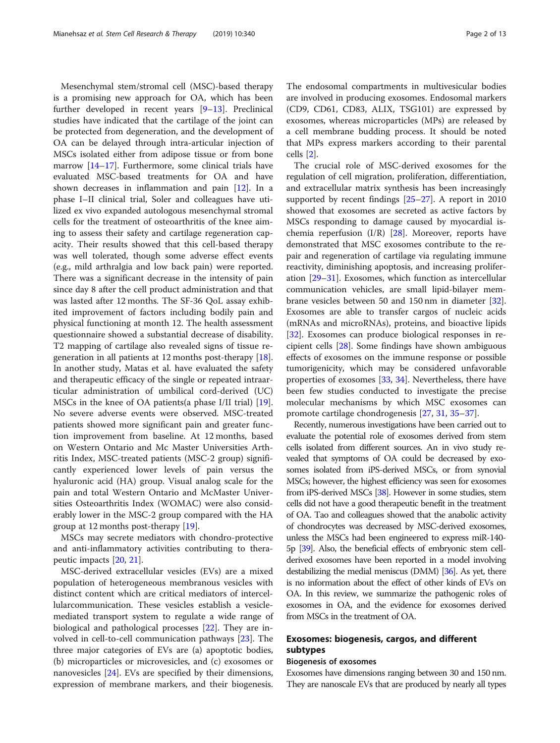Mesenchymal stem/stromal cell (MSC)-based therapy is a promising new approach for OA, which has been further developed in recent years [[9](#page-9-0)–[13](#page-9-0)]. Preclinical studies have indicated that the cartilage of the joint can be protected from degeneration, and the development of OA can be delayed through intra-articular injection of MSCs isolated either from adipose tissue or from bone marrow [[14](#page-9-0)–[17](#page-9-0)]. Furthermore, some clinical trials have evaluated MSC-based treatments for OA and have shown decreases in inflammation and pain [[12\]](#page-9-0). In a phase I–II clinical trial, Soler and colleagues have utilized ex vivo expanded autologous mesenchymal stromal cells for the treatment of osteoarthritis of the knee aiming to assess their safety and cartilage regeneration capacity. Their results showed that this cell-based therapy was well tolerated, though some adverse effect events (e.g., mild arthralgia and low back pain) were reported. There was a significant decrease in the intensity of pain since day 8 after the cell product administration and that was lasted after 12 months. The SF-36 QoL assay exhibited improvement of factors including bodily pain and physical functioning at month 12. The health assessment questionnaire showed a substantial decrease of disability. T2 mapping of cartilage also revealed signs of tissue regeneration in all patients at 12 months post-therapy [\[18](#page-9-0)]. In another study, Matas et al. have evaluated the safety and therapeutic efficacy of the single or repeated intraarticular administration of umbilical cord-derived (UC) MSCs in the knee of OA patients(a phase I/II trial) [\[19](#page-9-0)]. No severe adverse events were observed. MSC-treated patients showed more significant pain and greater function improvement from baseline. At 12 months, based on Western Ontario and Mc Master Universities Arthritis Index, MSC-treated patients (MSC-2 group) significantly experienced lower levels of pain versus the hyaluronic acid (HA) group. Visual analog scale for the pain and total Western Ontario and McMaster Universities Osteoarthritis Index (WOMAC) were also considerably lower in the MSC-2 group compared with the HA group at 12 months post-therapy [\[19](#page-9-0)].

MSCs may secrete mediators with chondro-protective and anti-inflammatory activities contributing to therapeutic impacts [[20](#page-9-0), [21](#page-9-0)].

MSC-derived extracellular vesicles (EVs) are a mixed population of heterogeneous membranous vesicles with distinct content which are critical mediators of intercellularcommunication. These vesicles establish a vesiclemediated transport system to regulate a wide range of biological and pathological processes [\[22](#page-9-0)]. They are involved in cell-to-cell communication pathways [[23\]](#page-9-0). The three major categories of EVs are (a) apoptotic bodies, (b) microparticles or microvesicles, and (c) exosomes or nanovesicles [[24\]](#page-9-0). EVs are specified by their dimensions, expression of membrane markers, and their biogenesis. The endosomal compartments in multivesicular bodies are involved in producing exosomes. Endosomal markers (CD9, CD61, CD83, ALIX, TSG101) are expressed by exosomes, whereas microparticles (MPs) are released by a cell membrane budding process. It should be noted that MPs express markers according to their parental cells [[2](#page-9-0)].

The crucial role of MSC-derived exosomes for the regulation of cell migration, proliferation, differentiation, and extracellular matrix synthesis has been increasingly supported by recent findings [\[25](#page-9-0)–[27\]](#page-9-0). A report in 2010 showed that exosomes are secreted as active factors by MSCs responding to damage caused by myocardial ischemia reperfusion (I/R) [\[28](#page-9-0)]. Moreover, reports have demonstrated that MSC exosomes contribute to the repair and regeneration of cartilage via regulating immune reactivity, diminishing apoptosis, and increasing proliferation [[29](#page-9-0)–[31\]](#page-10-0). Exosomes, which function as intercellular communication vehicles, are small lipid-bilayer membrane vesicles between 50 and 150 nm in diameter [\[32](#page-10-0)]. Exosomes are able to transfer cargos of nucleic acids (mRNAs and microRNAs), proteins, and bioactive lipids [[32\]](#page-10-0). Exosomes can produce biological responses in recipient cells [[28](#page-9-0)]. Some findings have shown ambiguous effects of exosomes on the immune response or possible tumorigenicity, which may be considered unfavorable properties of exosomes [[33,](#page-10-0) [34\]](#page-10-0). Nevertheless, there have been few studies conducted to investigate the precise molecular mechanisms by which MSC exosomes can promote cartilage chondrogenesis [\[27,](#page-9-0) [31,](#page-10-0) [35](#page-10-0)–[37\]](#page-10-0).

Recently, numerous investigations have been carried out to evaluate the potential role of exosomes derived from stem cells isolated from different sources. An in vivo study revealed that symptoms of OA could be decreased by exosomes isolated from iPS-derived MSCs, or from synovial MSCs; however, the highest efficiency was seen for exosomes from iPS-derived MSCs [[38\]](#page-10-0). However in some studies, stem cells did not have a good therapeutic benefit in the treatment of OA. Tao and colleagues showed that the anabolic activity of chondrocytes was decreased by MSC-derived exosomes, unless the MSCs had been engineered to express miR-140- 5p [\[39](#page-10-0)]. Also, the beneficial effects of embryonic stem cellderived exosomes have been reported in a model involving destabilizing the medial meniscus (DMM) [\[36\]](#page-10-0). As yet, there is no information about the effect of other kinds of EVs on OA. In this review, we summarize the pathogenic roles of exosomes in OA, and the evidence for exosomes derived from MSCs in the treatment of OA.

# Exosomes: biogenesis, cargos, and different subtypes

# Biogenesis of exosomes

Exosomes have dimensions ranging between 30 and 150 nm. They are nanoscale EVs that are produced by nearly all types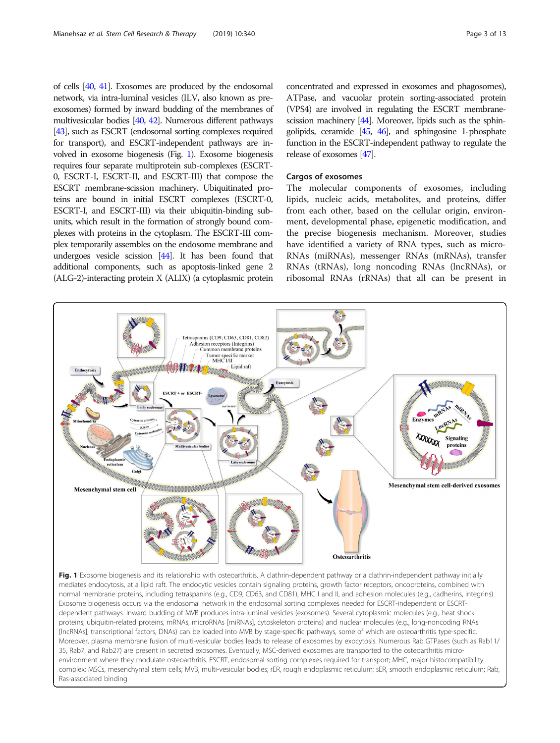of cells [[40,](#page-10-0) [41\]](#page-10-0). Exosomes are produced by the endosomal network, via intra-luminal vesicles (ILV, also known as preexosomes) formed by inward budding of the membranes of multivesicular bodies [\[40](#page-10-0), [42\]](#page-10-0). Numerous different pathways [[43\]](#page-10-0), such as ESCRT (endosomal sorting complexes required for transport), and ESCRT-independent pathways are involved in exosome biogenesis (Fig. 1). Exosome biogenesis requires four separate multiprotein sub-complexes (ESCRT-0, ESCRT-I, ESCRT-II, and ESCRT-III) that compose the ESCRT membrane-scission machinery. Ubiquitinated proteins are bound in initial ESCRT complexes (ESCRT-0, ESCRT-I, and ESCRT-III) via their ubiquitin-binding subunits, which result in the formation of strongly bound complexes with proteins in the cytoplasm. The ESCRT-III complex temporarily assembles on the endosome membrane and undergoes vesicle scission [\[44](#page-10-0)]. It has been found that additional components, such as apoptosis-linked gene 2 (ALG-2)-interacting protein X (ALIX) (a cytoplasmic protein

concentrated and expressed in exosomes and phagosomes), ATPase, and vacuolar protein sorting-associated protein (VPS4) are involved in regulating the ESCRT membrane-scission machinery [\[44\]](#page-10-0). Moreover, lipids such as the sphingolipids, ceramide  $[45, 46]$  $[45, 46]$  $[45, 46]$ , and sphingosine 1-phosphate function in the ESCRT-independent pathway to regulate the release of exosomes [[47\]](#page-10-0).

# Cargos of exosomes

The molecular components of exosomes, including lipids, nucleic acids, metabolites, and proteins, differ from each other, based on the cellular origin, environment, developmental phase, epigenetic modification, and the precise biogenesis mechanism. Moreover, studies have identified a variety of RNA types, such as micro-RNAs (miRNAs), messenger RNAs (mRNAs), transfer RNAs (tRNAs), long noncoding RNAs (lncRNAs), or ribosomal RNAs (rRNAs) that all can be present in



mediates endocytosis, at a lipid raft. The endocytic vesicles contain signaling proteins, growth factor receptors, oncoproteins, combined with normal membrane proteins, including tetraspanins (e.g., CD9, CD63, and CD81), MHC I and II, and adhesion molecules (e.g., cadherins, integrins). Exosome biogenesis occurs via the endosomal network in the endosomal sorting complexes needed for ESCRT-independent or ESCRTdependent pathways. Inward budding of MVB produces intra-luminal vesicles (exosomes). Several cytoplasmic molecules (e.g., heat shock proteins, ubiquitin-related proteins, mRNAs, microRNAs [miRNAs], cytoskeleton proteins) and nuclear molecules (e.g., long-noncoding RNAs [lncRNAs], transcriptional factors, DNAs) can be loaded into MVB by stage-specific pathways, some of which are osteoarthritis type-specific. Moreover, plasma membrane fusion of multi-vesicular bodies leads to release of exosomes by exocytosis. Numerous Rab GTPases (such as Rab11/ 35, Rab7, and Rab27) are present in secreted exosomes. Eventually, MSC-derived exosomes are transported to the osteoarthritis microenvironment where they modulate osteoarthritis. ESCRT, endosomal sorting complexes required for transport; MHC, major histocompatibility complex; MSCs, mesenchymal stem cells; MVB, multi-vesicular bodies; rER, rough endoplasmic reticulum; sER, smooth endoplasmic reticulum; Rab, Ras-associated binding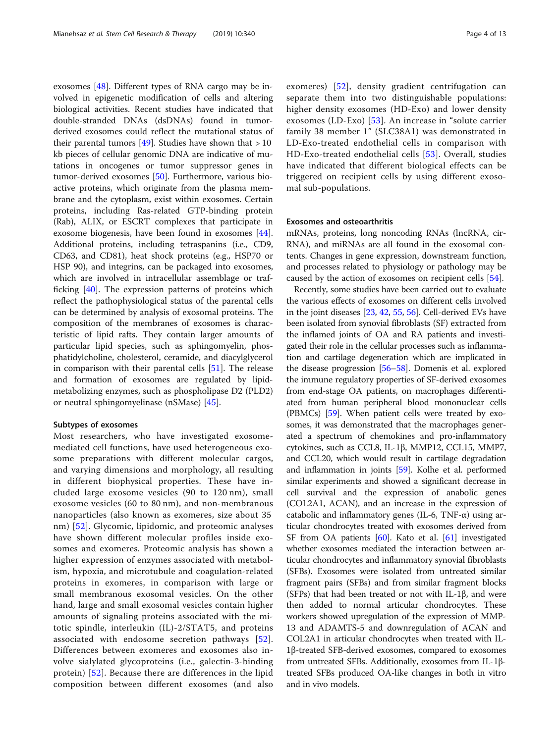exosomes [[48\]](#page-10-0). Different types of RNA cargo may be involved in epigenetic modification of cells and altering biological activities. Recent studies have indicated that double-stranded DNAs (dsDNAs) found in tumorderived exosomes could reflect the mutational status of their parental tumors [[49](#page-10-0)]. Studies have shown that  $> 10$ kb pieces of cellular genomic DNA are indicative of mutations in oncogenes or tumor suppressor genes in tumor-derived exosomes [\[50](#page-10-0)]. Furthermore, various bioactive proteins, which originate from the plasma membrane and the cytoplasm, exist within exosomes. Certain proteins, including Ras-related GTP-binding protein (Rab), ALIX, or ESCRT complexes that participate in exosome biogenesis, have been found in exosomes [\[44](#page-10-0)]. Additional proteins, including tetraspanins (i.e., CD9, CD63, and CD81), heat shock proteins (e.g., HSP70 or HSP 90), and integrins, can be packaged into exosomes, which are involved in intracellular assemblage or trafficking [[40](#page-10-0)]. The expression patterns of proteins which reflect the pathophysiological status of the parental cells can be determined by analysis of exosomal proteins. The composition of the membranes of exosomes is characteristic of lipid rafts. They contain larger amounts of particular lipid species, such as sphingomyelin, phosphatidylcholine, cholesterol, ceramide, and diacylglycerol in comparison with their parental cells [[51](#page-10-0)]. The release and formation of exosomes are regulated by lipidmetabolizing enzymes, such as phospholipase D2 (PLD2) or neutral sphingomyelinase (nSMase) [\[45\]](#page-10-0).

# Subtypes of exosomes

Most researchers, who have investigated exosomemediated cell functions, have used heterogeneous exosome preparations with different molecular cargos, and varying dimensions and morphology, all resulting in different biophysical properties. These have included large exosome vesicles (90 to 120 nm), small exosome vesicles (60 to 80 nm), and non-membranous nanoparticles (also known as exomeres, size about 35 nm) [[52\]](#page-10-0). Glycomic, lipidomic, and proteomic analyses have shown different molecular profiles inside exosomes and exomeres. Proteomic analysis has shown a higher expression of enzymes associated with metabolism, hypoxia, and microtubule and coagulation-related proteins in exomeres, in comparison with large or small membranous exosomal vesicles. On the other hand, large and small exosomal vesicles contain higher amounts of signaling proteins associated with the mitotic spindle, interleukin (IL)-2/STAT5, and proteins associated with endosome secretion pathways [[52](#page-10-0)]. Differences between exomeres and exosomes also involve sialylated glycoproteins (i.e., galectin-3-binding protein) [\[52\]](#page-10-0). Because there are differences in the lipid composition between different exosomes (and also exomeres) [[52](#page-10-0)], density gradient centrifugation can separate them into two distinguishable populations: higher density exosomes (HD-Exo) and lower density exosomes (LD-Exo) [[53\]](#page-10-0). An increase in "solute carrier family 38 member 1" (SLC38A1) was demonstrated in LD-Exo-treated endothelial cells in comparison with HD-Exo-treated endothelial cells [[53](#page-10-0)]. Overall, studies have indicated that different biological effects can be triggered on recipient cells by using different exosomal sub-populations.

# Exosomes and osteoarthritis

mRNAs, proteins, long noncoding RNAs (lncRNA, cir-RNA), and miRNAs are all found in the exosomal contents. Changes in gene expression, downstream function, and processes related to physiology or pathology may be caused by the action of exosomes on recipient cells [[54\]](#page-10-0).

Recently, some studies have been carried out to evaluate the various effects of exosomes on different cells involved in the joint diseases [\[23,](#page-9-0) [42](#page-10-0), [55,](#page-10-0) [56](#page-10-0)]. Cell-derived EVs have been isolated from synovial fibroblasts (SF) extracted from the inflamed joints of OA and RA patients and investigated their role in the cellular processes such as inflammation and cartilage degeneration which are implicated in the disease progression [\[56](#page-10-0)–[58](#page-10-0)]. Domenis et al. explored the immune regulatory properties of SF-derived exosomes from end-stage OA patients, on macrophages differentiated from human peripheral blood mononuclear cells (PBMCs) [[59\]](#page-10-0). When patient cells were treated by exosomes, it was demonstrated that the macrophages generated a spectrum of chemokines and pro-inflammatory cytokines, such as CCL8, IL-1β, MMP12, CCL15, MMP7, and CCL20, which would result in cartilage degradation and inflammation in joints [\[59\]](#page-10-0). Kolhe et al. performed similar experiments and showed a significant decrease in cell survival and the expression of anabolic genes (COL2A1, ACAN), and an increase in the expression of catabolic and inflammatory genes (IL-6, TNF- $\alpha$ ) using articular chondrocytes treated with exosomes derived from SF from OA patients [\[60\]](#page-10-0). Kato et al. [[61](#page-10-0)] investigated whether exosomes mediated the interaction between articular chondrocytes and inflammatory synovial fibroblasts (SFBs). Exosomes were isolated from untreated similar fragment pairs (SFBs) and from similar fragment blocks (SFPs) that had been treated or not with IL-1 $\beta$ , and were then added to normal articular chondrocytes. These workers showed upregulation of the expression of MMP-13 and ADAMTS-5 and downregulation of ACAN and COL2A1 in articular chondrocytes when treated with IL-1β-treated SFB-derived exosomes, compared to exosomes from untreated SFBs. Additionally, exosomes from IL-1βtreated SFBs produced OA-like changes in both in vitro and in vivo models.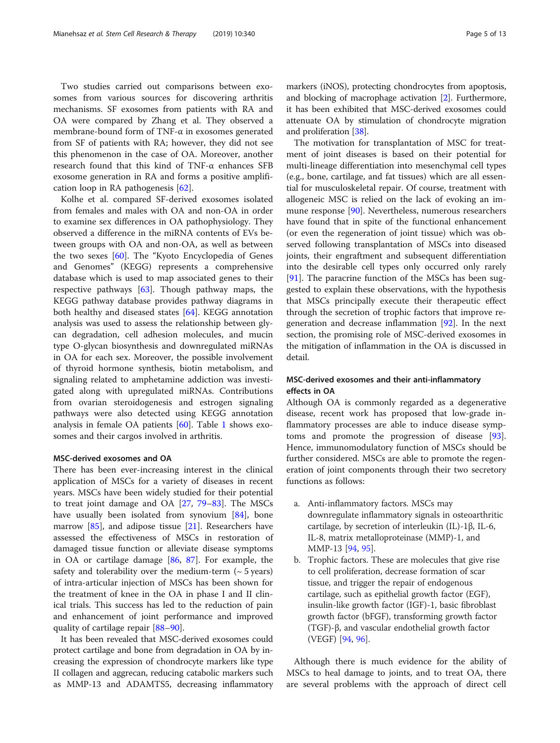Two studies carried out comparisons between exosomes from various sources for discovering arthritis mechanisms. SF exosomes from patients with RA and OA were compared by Zhang et al. They observed a membrane-bound form of TNF-α in exosomes generated from SF of patients with RA; however, they did not see this phenomenon in the case of OA. Moreover, another research found that this kind of TNF-α enhances SFB exosome generation in RA and forms a positive amplification loop in RA pathogenesis [[62\]](#page-10-0).

Kolhe et al. compared SF-derived exosomes isolated from females and males with OA and non-OA in order to examine sex differences in OA pathophysiology. They observed a difference in the miRNA contents of EVs between groups with OA and non-OA, as well as between the two sexes [\[60](#page-10-0)]. The "Kyoto Encyclopedia of Genes and Genomes" (KEGG) represents a comprehensive database which is used to map associated genes to their respective pathways [\[63](#page-10-0)]. Though pathway maps, the KEGG pathway database provides pathway diagrams in both healthy and diseased states [[64](#page-10-0)]. KEGG annotation analysis was used to assess the relationship between glycan degradation, cell adhesion molecules, and mucin type O-glycan biosynthesis and downregulated miRNAs in OA for each sex. Moreover, the possible involvement of thyroid hormone synthesis, biotin metabolism, and signaling related to amphetamine addiction was investigated along with upregulated miRNAs. Contributions from ovarian steroidogenesis and estrogen signaling pathways were also detected using KEGG annotation analysis in female OA patients [\[60](#page-10-0)]. Table [1](#page-5-0) shows exosomes and their cargos involved in arthritis.

# MSC-derived exosomes and OA

There has been ever-increasing interest in the clinical application of MSCs for a variety of diseases in recent years. MSCs have been widely studied for their potential to treat joint damage and OA [\[27](#page-9-0), [79](#page-11-0)–[83\]](#page-11-0). The MSCs have usually been isolated from synovium [[84\]](#page-11-0), bone marrow  $[85]$ , and adipose tissue  $[21]$  $[21]$ . Researchers have assessed the effectiveness of MSCs in restoration of damaged tissue function or alleviate disease symptoms in OA or cartilage damage [\[86,](#page-11-0) [87\]](#page-11-0). For example, the safety and tolerability over the medium-term  $($   $\sim$  5 years) of intra-articular injection of MSCs has been shown for the treatment of knee in the OA in phase I and II clinical trials. This success has led to the reduction of pain and enhancement of joint performance and improved quality of cartilage repair [\[88](#page-11-0)–[90\]](#page-11-0).

It has been revealed that MSC-derived exosomes could protect cartilage and bone from degradation in OA by increasing the expression of chondrocyte markers like type II collagen and aggrecan, reducing catabolic markers such as MMP-13 and ADAMTS5, decreasing inflammatory markers (iNOS), protecting chondrocytes from apoptosis, and blocking of macrophage activation [[2](#page-9-0)]. Furthermore, it has been exhibited that MSC-derived exosomes could attenuate OA by stimulation of chondrocyte migration and proliferation [\[38](#page-10-0)].

The motivation for transplantation of MSC for treatment of joint diseases is based on their potential for multi-lineage differentiation into mesenchymal cell types (e.g., bone, cartilage, and fat tissues) which are all essential for musculoskeletal repair. Of course, treatment with allogeneic MSC is relied on the lack of evoking an immune response [\[90\]](#page-11-0). Nevertheless, numerous researchers have found that in spite of the functional enhancement (or even the regeneration of joint tissue) which was observed following transplantation of MSCs into diseased joints, their engraftment and subsequent differentiation into the desirable cell types only occurred only rarely [[91\]](#page-11-0). The paracrine function of the MSCs has been suggested to explain these observations, with the hypothesis that MSCs principally execute their therapeutic effect through the secretion of trophic factors that improve regeneration and decrease inflammation [[92\]](#page-11-0). In the next section, the promising role of MSC-derived exosomes in the mitigation of inflammation in the OA is discussed in detail.

# MSC-derived exosomes and their anti-inflammatory effects in OA

Although OA is commonly regarded as a degenerative disease, recent work has proposed that low-grade inflammatory processes are able to induce disease symptoms and promote the progression of disease [\[93](#page-11-0)]. Hence, immunomodulatory function of MSCs should be further considered. MSCs are able to promote the regeneration of joint components through their two secretory functions as follows:

- a. Anti-inflammatory factors. MSCs may downregulate inflammatory signals in osteoarthritic cartilage, by secretion of interleukin (IL)-1β, IL-6, IL-8, matrix metalloproteinase (MMP)-1, and MMP-13 [\[94,](#page-11-0) [95](#page-11-0)].
- b. Trophic factors. These are molecules that give rise to cell proliferation, decrease formation of scar tissue, and trigger the repair of endogenous cartilage, such as epithelial growth factor (EGF), insulin-like growth factor (IGF)-1, basic fibroblast growth factor (bFGF), transforming growth factor (TGF)-β, and vascular endothelial growth factor (VEGF) [\[94,](#page-11-0) [96\]](#page-11-0).

Although there is much evidence for the ability of MSCs to heal damage to joints, and to treat OA, there are several problems with the approach of direct cell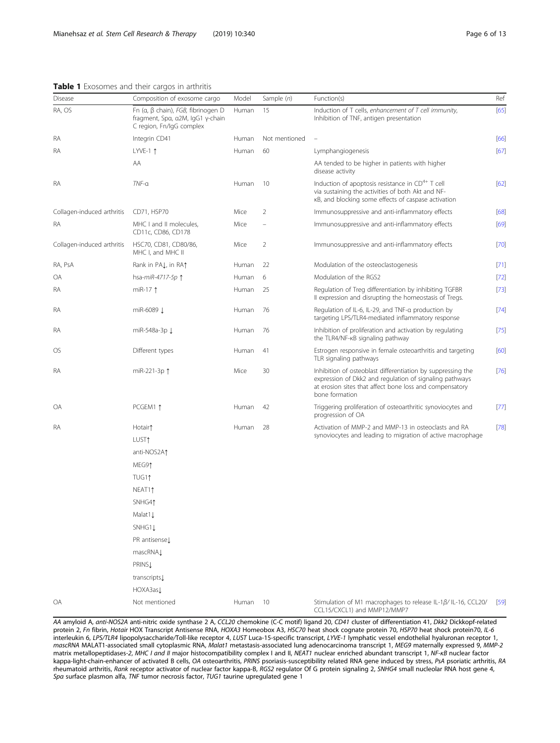# <span id="page-5-0"></span>Table 1 Exosomes and their cargos in arthritis

| RA, OS                     | Fn (α, β chain), $FGB$ , fibrinogen D<br>fragment, Spα, α2M, IgG1 γ-chain<br>C region, Fn/IgG complex | Human | 15            | Induction of T cells, enhancement of T cell immunity,<br>Inhibition of TNF, antigen presentation                                                                                                    | [65]   |  |
|----------------------------|-------------------------------------------------------------------------------------------------------|-------|---------------|-----------------------------------------------------------------------------------------------------------------------------------------------------------------------------------------------------|--------|--|
| RA                         | Integrin CD41                                                                                         | Human | Not mentioned | $\overline{\phantom{a}}$                                                                                                                                                                            | [66]   |  |
| RA                         | LYVE-1 $\uparrow$                                                                                     | Human | 60            | Lymphangiogenesis                                                                                                                                                                                   | [67]   |  |
|                            | AA                                                                                                    |       |               | AA tended to be higher in patients with higher<br>disease activity                                                                                                                                  |        |  |
| RA                         | $TNF-a$                                                                                               | Human | 10            | Induction of apoptosis resistance in $CD^{4+}$ T cell<br>via sustaining the activities of both Akt and NF-<br>KB, and blocking some effects of caspase activation                                   | [62]   |  |
| Collagen-induced arthritis | CD71, HSP70                                                                                           | Mice  | 2             | Immunosuppressive and anti-inflammatory effects                                                                                                                                                     | [68]   |  |
| RA                         | MHC I and II molecules,<br>CD11c, CD86, CD178                                                         | Mice  |               | Immunosuppressive and anti-inflammatory effects                                                                                                                                                     | [69]   |  |
| Collagen-induced arthritis | HSC70, CD81, CD80/86,<br>MHC I, and MHC II                                                            | Mice  | 2             | Immunosuppressive and anti-inflammatory effects                                                                                                                                                     | $[70]$ |  |
| RA, PsA                    | Rank in PA↓, in RA↑                                                                                   | Human | 22            | Modulation of the osteoclastogenesis                                                                                                                                                                | [71]   |  |
| OA                         | hsa-miR-4717-5p 1                                                                                     | Human | 6             | Modulation of the RGS2                                                                                                                                                                              | $[72]$ |  |
| RA                         | miR-17 $\uparrow$                                                                                     | Human | 25            | Regulation of Treg differentiation by inhibiting TGFBR<br>Il expression and disrupting the homeostasis of Tregs.                                                                                    | $[73]$ |  |
| RA                         | miR-6089 L                                                                                            | Human | 76            | Regulation of IL-6, IL-29, and TNF-a production by<br>targeting LPS/TLR4-mediated inflammatory response                                                                                             | $[74]$ |  |
| RA                         | miR-548a-3p ↓                                                                                         | Human | 76            | Inhibition of proliferation and activation by regulating<br>the TLR4/NF-KB signaling pathway                                                                                                        | $[75]$ |  |
| OS                         | Different types                                                                                       | Human | 41            | Estrogen responsive in female osteoarthritis and targeting<br>TLR signaling pathways                                                                                                                | [60]   |  |
| RA                         | miR-221-3p 1                                                                                          | Mice  | 30            | Inhibition of osteoblast differentiation by suppressing the<br>expression of Dkk2 and regulation of signaling pathways<br>at erosion sites that affect bone loss and compensatory<br>bone formation | $[76]$ |  |
| OA                         | PCGEM1 1                                                                                              | Human | 42            | Triggering proliferation of osteoarthritic synoviocytes and<br>progression of OA                                                                                                                    | $[77]$ |  |
| RA                         | Hotair†                                                                                               | Human | 28            | Activation of MMP-2 and MMP-13 in osteoclasts and RA<br>synoviocytes and leading to migration of active macrophage                                                                                  | $[78]$ |  |
|                            | LUST <sub>1</sub>                                                                                     |       |               |                                                                                                                                                                                                     |        |  |
|                            | anti-NOS2A↑                                                                                           |       |               |                                                                                                                                                                                                     |        |  |
|                            | MEG91                                                                                                 |       |               |                                                                                                                                                                                                     |        |  |
|                            | TUG11                                                                                                 |       |               |                                                                                                                                                                                                     |        |  |
|                            | NEAT <sub>1</sub>                                                                                     |       |               |                                                                                                                                                                                                     |        |  |
|                            | SNHG41                                                                                                |       |               |                                                                                                                                                                                                     |        |  |
|                            | Malat1 L                                                                                              |       |               |                                                                                                                                                                                                     |        |  |
|                            | SNHG1↓                                                                                                |       |               |                                                                                                                                                                                                     |        |  |
|                            | PR antisense L                                                                                        |       |               |                                                                                                                                                                                                     |        |  |
|                            | mascRNAL                                                                                              |       |               |                                                                                                                                                                                                     |        |  |
|                            | PRINSI                                                                                                |       |               |                                                                                                                                                                                                     |        |  |
|                            | transcripts                                                                                           |       |               |                                                                                                                                                                                                     |        |  |
|                            | HOXA3as1                                                                                              |       |               |                                                                                                                                                                                                     |        |  |
| OA                         | Not mentioned                                                                                         | Human | 10            | Stimulation of M1 macrophages to release IL-1B/IL-16, CCL20/<br>CCL15/CXCL1) and MMP12/MMP7                                                                                                         | [59]   |  |

Disease Composition of exosome cargo Model Sample (n) Function(s) Function(s) Ref

AA amyloid A, anti-NOS2A anti-nitric oxide synthase 2 A, CCL20 chemokine (C-C motif) ligand 20, CD41 cluster of differentiation 41, Dkk2 Dickkopf-related protein 2, Fn fibrin, Hotair HOX Transcript Antisense RNA, HOXA3 Homeobox A3, HSC70 heat shock cognate protein 70, HSP70 heat shock protein70, IL-6 interleukin 6, LPS/TLR4 lipopolysaccharide/Toll-like receptor 4, LUST Luca-15-specific transcript, LYVE-1 lymphatic vessel endothelial hyaluronan receptor 1, mascRNA MALAT1-associated small cytoplasmic RNA, Malat1 metastasis-associated lung adenocarcinoma transcript 1, MEG9 maternally expressed 9, MMP-2 matrix metallopeptidases-2, MHC I and II major histocompatibility complex I and II, NEAT1 nuclear enriched abundant transcript 1, NF-κB nuclear factor kappa-light-chain-enhancer of activated B cells, OA osteoarthritis, PRINS psoriasis-susceptibility related RNA gene induced by stress, PsA psoriatic arthritis, RA rheumatoid arthritis, Rank receptor activator of nuclear factor kappa-B, RGS2 regulator Of G protein signaling 2, SNHG4 small nucleolar RNA host gene 4, Spα surface plasmon alfa, TNF tumor necrosis factor, TUG1 taurine upregulated gene 1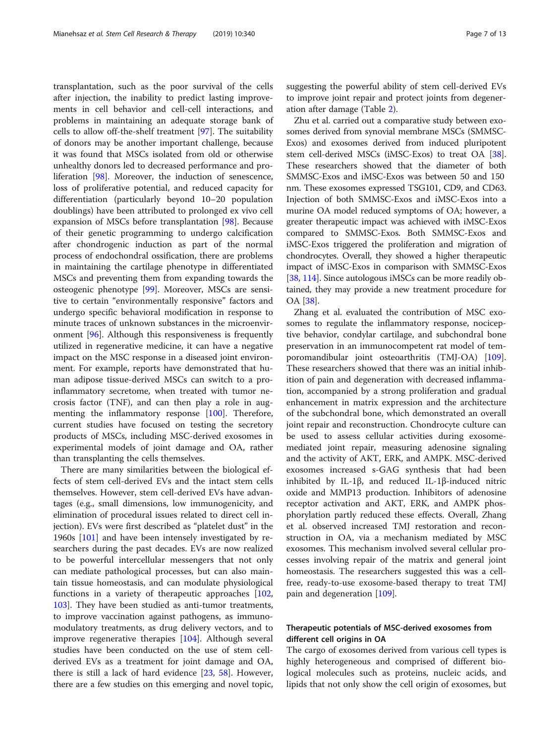transplantation, such as the poor survival of the cells after injection, the inability to predict lasting improvements in cell behavior and cell-cell interactions, and problems in maintaining an adequate storage bank of cells to allow off-the-shelf treatment [\[97\]](#page-11-0). The suitability of donors may be another important challenge, because it was found that MSCs isolated from old or otherwise unhealthy donors led to decreased performance and proliferation [[98](#page-11-0)]. Moreover, the induction of senescence, loss of proliferative potential, and reduced capacity for differentiation (particularly beyond 10–20 population doublings) have been attributed to prolonged ex vivo cell expansion of MSCs before transplantation [\[98](#page-11-0)]. Because of their genetic programming to undergo calcification after chondrogenic induction as part of the normal process of endochondral ossification, there are problems in maintaining the cartilage phenotype in differentiated MSCs and preventing them from expanding towards the osteogenic phenotype [[99](#page-11-0)]. Moreover, MSCs are sensitive to certain "environmentally responsive" factors and undergo specific behavioral modification in response to minute traces of unknown substances in the microenvironment [\[96](#page-11-0)]. Although this responsiveness is frequently utilized in regenerative medicine, it can have a negative impact on the MSC response in a diseased joint environment. For example, reports have demonstrated that human adipose tissue-derived MSCs can switch to a proinflammatory secretome, when treated with tumor necrosis factor (TNF), and can then play a role in augmenting the inflammatory response [[100\]](#page-11-0). Therefore, current studies have focused on testing the secretory products of MSCs, including MSC-derived exosomes in experimental models of joint damage and OA, rather than transplanting the cells themselves.

There are many similarities between the biological effects of stem cell-derived EVs and the intact stem cells themselves. However, stem cell-derived EVs have advantages (e.g., small dimensions, low immunogenicity, and elimination of procedural issues related to direct cell injection). EVs were first described as "platelet dust" in the 1960s [\[101\]](#page-11-0) and have been intensely investigated by researchers during the past decades. EVs are now realized to be powerful intercellular messengers that not only can mediate pathological processes, but can also maintain tissue homeostasis, and can modulate physiological functions in a variety of therapeutic approaches [[102](#page-11-0), [103](#page-11-0)]. They have been studied as anti-tumor treatments, to improve vaccination against pathogens, as immunomodulatory treatments, as drug delivery vectors, and to improve regenerative therapies [[104](#page-11-0)]. Although several studies have been conducted on the use of stem cellderived EVs as a treatment for joint damage and OA, there is still a lack of hard evidence [[23](#page-9-0), [58\]](#page-10-0). However, there are a few studies on this emerging and novel topic, suggesting the powerful ability of stem cell-derived EVs to improve joint repair and protect joints from degeneration after damage (Table [2](#page-7-0)).

Zhu et al. carried out a comparative study between exosomes derived from synovial membrane MSCs (SMMSC-Exos) and exosomes derived from induced pluripotent stem cell-derived MSCs (iMSC-Exos) to treat OA [[38](#page-10-0)]. These researchers showed that the diameter of both SMMSC-Exos and iMSC-Exos was between 50 and 150 nm. These exosomes expressed TSG101, CD9, and CD63. Injection of both SMMSC-Exos and iMSC-Exos into a murine OA model reduced symptoms of OA; however, a greater therapeutic impact was achieved with iMSC-Exos compared to SMMSC-Exos. Both SMMSC-Exos and iMSC-Exos triggered the proliferation and migration of chondrocytes. Overall, they showed a higher therapeutic impact of iMSC-Exos in comparison with SMMSC-Exos [[38](#page-10-0), [114\]](#page-11-0). Since autologous iMSCs can be more readily obtained, they may provide a new treatment procedure for OA [[38\]](#page-10-0).

Zhang et al. evaluated the contribution of MSC exosomes to regulate the inflammatory response, nociceptive behavior, condylar cartilage, and subchondral bone preservation in an immunocompetent rat model of temporomandibular joint osteoarthritis (TMJ-OA) [[109](#page-11-0)]. These researchers showed that there was an initial inhibition of pain and degeneration with decreased inflammation, accompanied by a strong proliferation and gradual enhancement in matrix expression and the architecture of the subchondral bone, which demonstrated an overall joint repair and reconstruction. Chondrocyte culture can be used to assess cellular activities during exosomemediated joint repair, measuring adenosine signaling and the activity of AKT, ERK, and AMPK. MSC-derived exosomes increased s-GAG synthesis that had been inhibited by IL-1β, and reduced IL-1β-induced nitric oxide and MMP13 production. Inhibitors of adenosine receptor activation and AKT, ERK, and AMPK phosphorylation partly reduced these effects. Overall, Zhang et al. observed increased TMJ restoration and reconstruction in OA, via a mechanism mediated by MSC exosomes. This mechanism involved several cellular processes involving repair of the matrix and general joint homeostasis. The researchers suggested this was a cellfree, ready-to-use exosome-based therapy to treat TMJ pain and degeneration [\[109\]](#page-11-0).

# Therapeutic potentials of MSC-derived exosomes from different cell origins in OA

The cargo of exosomes derived from various cell types is highly heterogeneous and comprised of different biological molecules such as proteins, nucleic acids, and lipids that not only show the cell origin of exosomes, but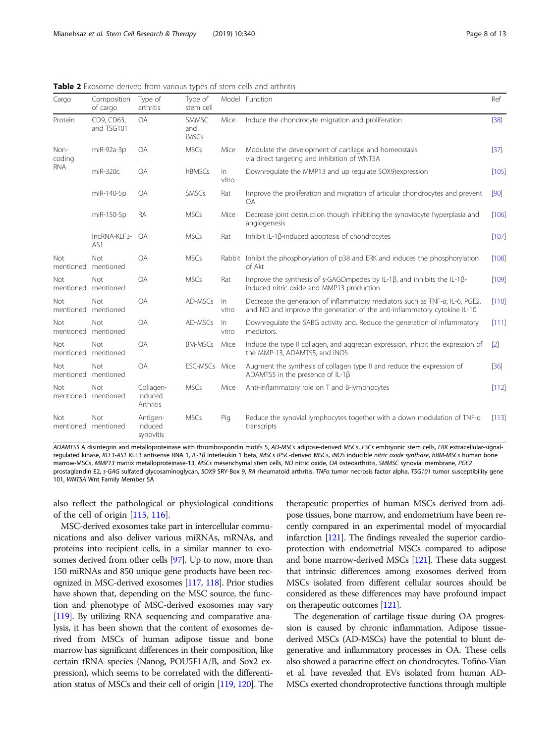<span id="page-7-0"></span>Table 2 Exosome derived from various types of stem cells and arthritis

| Cargo                        | Composition<br>of cargo    | Type of<br>arthritis              | Type of<br>stem cell  |                | Model Function                                                                                                                                            | Ref     |
|------------------------------|----------------------------|-----------------------------------|-----------------------|----------------|-----------------------------------------------------------------------------------------------------------------------------------------------------------|---------|
| Protein                      | CD9, CD63,<br>and TSG101   | <b>OA</b>                         | SMMSC<br>and<br>iMSCs | Mice           | Induce the chondrocyte migration and proliferation                                                                                                        | $[38]$  |
| Non-<br>coding<br><b>RNA</b> | miR-92a-3p                 | OA                                | <b>MSCs</b>           | Mice           | Modulate the development of cartilage and homeostasis<br>via direct targeting and inhibition of WNT5A                                                     | $[37]$  |
|                              | miR-320c                   | OA                                | hBMSCs                | In<br>vitro    | Downregulate the MMP13 and up regulate SOX9) expression                                                                                                   | [105]   |
|                              | miR-140-5p                 | <b>OA</b>                         | SMSCs                 | Rat            | Improve the proliferation and migration of articular chondrocytes and prevent<br><b>OA</b>                                                                | [90]    |
|                              | miR-150-5p                 | <b>RA</b>                         | <b>MSCs</b>           | Mice           | Decrease joint destruction though inhibiting the synoviocyte hyperplasia and<br>angiogenesis                                                              | $[106]$ |
|                              | IncRNA-KLF3-<br>AS1        | <b>OA</b>                         | <b>MSCs</b>           | Rat            | Inhibit IL-1ß-induced apoptosis of chondrocytes                                                                                                           | $[107]$ |
| Not<br>mentioned             | Not<br>mentioned           | OA                                | <b>MSCs</b>           |                | Rabbit Inhibit the phosphorylation of p38 and ERK and induces the phosphorylation<br>of Akt                                                               | [108]   |
| Not<br>mentioned             | Not<br>mentioned           | <b>OA</b>                         | <b>MSCs</b>           | Rat            | Improve the synthesis of s-GAGO mpedes by IL-1 $\beta$ , and inhibits the IL-1 $\beta$ -<br>induced nitric oxide and MMP13 production                     | $[109]$ |
| Not<br>mentioned             | Not<br>mentioned           | <b>OA</b>                         | AD-MSCs               | $\ln$<br>vitro | Decrease the generation of inflammatory mediators such as TNF-a, IL-6, PGE2,<br>and NO and improve the generation of the anti-inflammatory cytokine IL-10 | $[110]$ |
| Not                          | Not<br>mentioned mentioned | <b>OA</b>                         | AD-MSCs               | In.<br>vitro   | Downregulate the SABG activity and. Reduce the generation of inflammatory<br>mediators.                                                                   | [111]   |
| Not<br>mentioned             | Not<br>mentioned           | <b>OA</b>                         | <b>BM-MSCs</b>        | Mice           | Induce the type II collagen, and aggrecan expression, inhibit the expression of<br>the MMP-13, ADAMTS5, and iNOS                                          | $[2]$   |
| Not                          | Not<br>mentioned mentioned | <b>OA</b>                         | ESC-MSCs Mice         |                | Augment the synthesis of collagen type II and reduce the expression of<br>ADAMTS5 in the presence of IL-1 $\beta$                                         | $[36]$  |
| Not                          | Not<br>mentioned mentioned | Collagen-<br>Induced<br>Arthritis | <b>MSCs</b>           | Mice           | Anti-inflammatory role on T and B-lymphocytes                                                                                                             | $[112]$ |
| Not<br>mentioned             | Not<br>mentioned           | Antigen-<br>induced<br>synovitis  | <b>MSCs</b>           | Pig            | Reduce the synovial lymphocytes together with a down modulation of TNF-a<br>transcripts                                                                   | $[113]$ |

ADAMTS5 A disintegrin and metalloproteinase with thrombospondin motifs 5, AD-MSCs adipose-derived MSCs, ESCs embryonic stem cells, ERK extracellular-signalregulated kinase, KLF3-AS1 KLF3 antisense RNA 1, IL-1β Interleukin 1 beta, iMSCs iPSC-derived MSCs, iNOS inducible nitric oxide synthase, hBM-MSCs human bone marrow-MSCs, MMP13 matrix metalloproteinase-13, MSCs mesenchymal stem cells, NO nitric oxide, OA osteoarthritis, SMMSC synovial membrane, PGE2 prostaglandin E2, s-GAG sulfated glycosaminoglycan, SOX9 SRY-Box 9, RA rheumatoid arthritis, TNFa tumor necrosis factor alpha, TSG101 tumor susceptibility gene 101, WNT5A Wnt Family Member 5A

also reflect the pathological or physiological conditions of the cell of origin [\[115](#page-11-0), [116\]](#page-11-0).

MSC-derived exosomes take part in intercellular communications and also deliver various miRNAs, mRNAs, and proteins into recipient cells, in a similar manner to exosomes derived from other cells [\[97\]](#page-11-0). Up to now, more than 150 miRNAs and 850 unique gene products have been recognized in MSC-derived exosomes [[117,](#page-11-0) [118](#page-11-0)]. Prior studies have shown that, depending on the MSC source, the function and phenotype of MSC-derived exosomes may vary [[119\]](#page-11-0). By utilizing RNA sequencing and comparative analysis, it has been shown that the content of exosomes derived from MSCs of human adipose tissue and bone marrow has significant differences in their composition, like certain tRNA species (Nanog, POU5F1A/B, and Sox2 expression), which seems to be correlated with the differentiation status of MSCs and their cell of origin [\[119](#page-11-0), [120](#page-11-0)]. The

therapeutic properties of human MSCs derived from adipose tissues, bone marrow, and endometrium have been recently compared in an experimental model of myocardial infarction [[121\]](#page-12-0). The findings revealed the superior cardioprotection with endometrial MSCs compared to adipose and bone marrow-derived MSCs [\[121](#page-12-0)]. These data suggest that intrinsic differences among exosomes derived from MSCs isolated from different cellular sources should be considered as these differences may have profound impact on therapeutic outcomes [[121\]](#page-12-0).

The degeneration of cartilage tissue during OA progression is caused by chronic inflammation. Adipose tissuederived MSCs (AD-MSCs) have the potential to blunt degenerative and inflammatory processes in OA. These cells also showed a paracrine effect on chondrocytes. Tofiño-Vian et al. have revealed that EVs isolated from human AD-MSCs exerted chondroprotective functions through multiple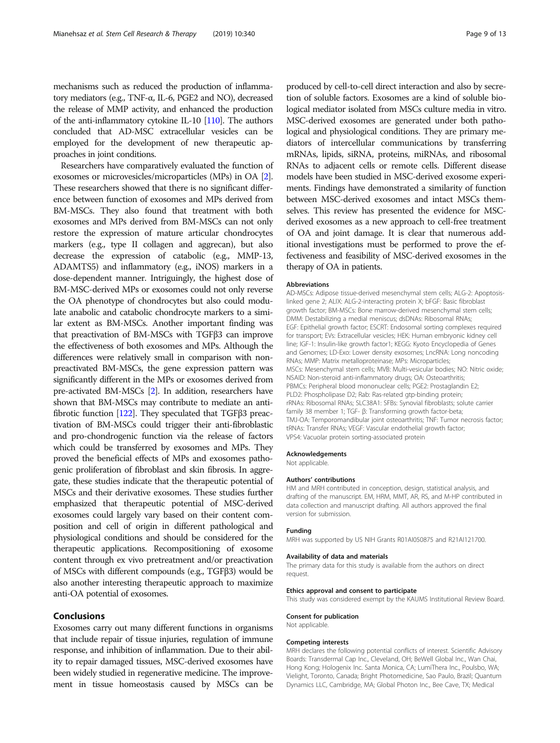mechanisms such as reduced the production of inflammatory mediators (e.g., TNF-α, IL-6, PGE2 and NO), decreased the release of MMP activity, and enhanced the production of the anti-inflammatory cytokine IL-10 [\[110\]](#page-11-0). The authors concluded that AD-MSC extracellular vesicles can be employed for the development of new therapeutic approaches in joint conditions.

Researchers have comparatively evaluated the function of exosomes or microvesicles/microparticles (MPs) in OA [[2](#page-9-0)]. These researchers showed that there is no significant difference between function of exosomes and MPs derived from BM-MSCs. They also found that treatment with both exosomes and MPs derived from BM-MSCs can not only restore the expression of mature articular chondrocytes markers (e.g., type II collagen and aggrecan), but also decrease the expression of catabolic (e.g., MMP-13, ADAMTS5) and inflammatory (e.g., iNOS) markers in a dose-dependent manner. Intriguingly, the highest dose of BM-MSC-derived MPs or exosomes could not only reverse the OA phenotype of chondrocytes but also could modulate anabolic and catabolic chondrocyte markers to a similar extent as BM-MSCs. Another important finding was that preactivation of BM-MSCs with TGFβ3 can improve the effectiveness of both exosomes and MPs. Although the differences were relatively small in comparison with nonpreactivated BM-MSCs, the gene expression pattern was significantly different in the MPs or exosomes derived from pre-activated BM-MSCs [\[2\]](#page-9-0). In addition, researchers have shown that BM-MSCs may contribute to mediate an antifibrotic function [[122\]](#page-12-0). They speculated that TGFβ3 preactivation of BM-MSCs could trigger their anti-fibroblastic and pro-chondrogenic function via the release of factors which could be transferred by exosomes and MPs. They proved the beneficial effects of MPs and exosomes pathogenic proliferation of fibroblast and skin fibrosis. In aggregate, these studies indicate that the therapeutic potential of MSCs and their derivative exosomes. These studies further emphasized that therapeutic potential of MSC-derived exosomes could largely vary based on their content composition and cell of origin in different pathological and physiological conditions and should be considered for the therapeutic applications. Recompositioning of exosome content through ex vivo pretreatment and/or preactivation of MSCs with different compounds (e.g., TGFβ3) would be also another interesting therapeutic approach to maximize anti-OA potential of exosomes.

# Conclusions

Exosomes carry out many different functions in organisms that include repair of tissue injuries, regulation of immune response, and inhibition of inflammation. Due to their ability to repair damaged tissues, MSC-derived exosomes have been widely studied in regenerative medicine. The improvement in tissue homeostasis caused by MSCs can be

produced by cell-to-cell direct interaction and also by secretion of soluble factors. Exosomes are a kind of soluble biological mediator isolated from MSCs culture media in vitro. MSC-derived exosomes are generated under both pathological and physiological conditions. They are primary mediators of intercellular communications by transferring mRNAs, lipids, siRNA, proteins, miRNAs, and ribosomal RNAs to adjacent cells or remote cells. Different disease models have been studied in MSC-derived exosome experiments. Findings have demonstrated a similarity of function between MSC-derived exosomes and intact MSCs themselves. This review has presented the evidence for MSCderived exosomes as a new approach to cell-free treatment of OA and joint damage. It is clear that numerous additional investigations must be performed to prove the effectiveness and feasibility of MSC-derived exosomes in the therapy of OA in patients.

#### Abbreviations

AD-MSCs: Adipose tissue-derived mesenchymal stem cells; ALG-2: Apoptosislinked gene 2; ALIX: ALG-2-interacting protein X; bFGF: Basic fibroblast growth factor; BM-MSCs: Bone marrow-derived mesenchymal stem cells; DMM: Destabilizing a medial meniscus; dsDNAs: Ribosomal RNAs; EGF: Epithelial growth factor; ESCRT: Endosomal sorting complexes required for transport; EVs: Extracellular vesicles; HEK: Human embryonic kidney cell line; IGF-1: Insulin-like growth factor1; KEGG: Kyoto Encyclopedia of Genes and Genomes; LD-Exo: Lower density exosomes; LncRNA: Long noncoding RNAs; MMP: Matrix metalloproteinase; MPs: Microparticles; MSCs: Mesenchymal stem cells; MVB: Multi-vesicular bodies; NO: Nitric oxide; NSAID: Non-steroid anti-inflammatory drugs; OA: Osteoarthritis; PBMCs: Peripheral blood mononuclear cells; PGE2: Prostaglandin E2; PLD2: Phospholipase D2; Rab: Ras-related gtp-binding protein; rRNAs: Ribosomal RNAs; SLC38A1: SFBs: Synovial fibroblasts; solute carrier family 38 member 1; TGF- β: Transforming growth factor-beta; TMJ-OA: Temporomandibular joint osteoarthritis; TNF: Tumor necrosis factor; tRNAs: Transfer RNAs; VEGF: Vascular endothelial growth factor; VPS4: Vacuolar protein sorting-associated protein

#### Acknowledgements

Not applicable.

#### Authors' contributions

HM and MRH contributed in conception, design, statistical analysis, and drafting of the manuscript. EM, HRM, MMT, AR, RS, and M-HP contributed in data collection and manuscript drafting. All authors approved the final version for submission.

## Funding

MRH was supported by US NIH Grants R01AI050875 and R21AI121700.

# Availability of data and materials

The primary data for this study is available from the authors on direct request.

## Ethics approval and consent to participate

This study was considered exempt by the KAUMS Institutional Review Board.

#### Consent for publication

Not applicable.

#### Competing interests

MRH declares the following potential conflicts of interest. Scientific Advisory Boards: Transdermal Cap Inc., Cleveland, OH; BeWell Global Inc., Wan Chai, Hong Kong; Hologenix Inc. Santa Monica, CA; LumiThera Inc., Poulsbo, WA; Vielight, Toronto, Canada; Bright Photomedicine, Sao Paulo, Brazil; Quantum Dynamics LLC, Cambridge, MA; Global Photon Inc., Bee Cave, TX; Medical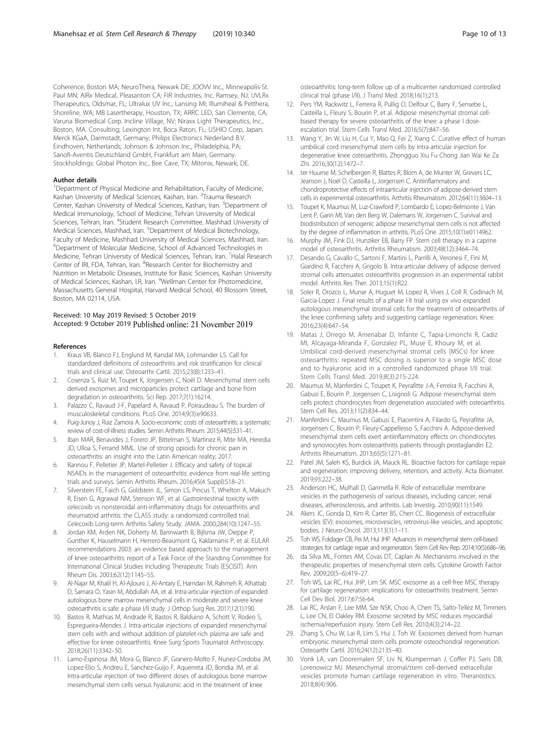<span id="page-9-0"></span>Coherence, Boston MA; NeuroThera, Newark DE; JOOVV Inc., Minneapolis-St. Paul MN; AIRx Medical, Pleasanton CA; FIR Industries, Inc. Ramsey, NJ; UVLRx Therapeutics, Oldsmar, FL; Ultralux UV Inc., Lansing MI; Illumiheal & Petthera, Shoreline, WA; MB Lasertherapy, Houston, TX; ARRC LED, San Clemente, CA; Varuna Biomedical Corp. Incline Village, NV; Niraxx Light Therapeutics, Inc., Boston, MA. Consulting; Lexington Int, Boca Raton, FL; USHIO Corp, Japan; Merck KGaA, Darmstadt, Germany; Philips Electronics Nederland B.V. Eindhoven, Netherlands; Johnson & Johnson Inc., Philadelphia, PA; Sanofi-Aventis Deutschland GmbH, Frankfurt am Main, Germany. Stockholdings: Global Photon Inc., Bee Cave, TX; Mitonix, Newark, DE.

#### Author details

<sup>1</sup>Department of Physical Medicine and Rehabilitation, Faculty of Medicine, Kashan University of Medical Sciences, Kashan, Iran. <sup>2</sup>Trauma Research Center, Kashan University of Medical Sciences, Kashan, Iran. <sup>3</sup>Department of Medical Immunology, School of Medicine, Tehran University of Medical Sciences, Tehran, Iran. <sup>4</sup>Student Research Committee, Mashhad University of Medical Sciences, Mashhad, Iran. <sup>5</sup>Department of Medical Biotechnology, Faculty of Medicine, Mashhad University of Medical Sciences, Mashhad, Iran. 6 Department of Molecular Medicine, School of Advanced Technologies in Medicine, Tehran University of Medical Sciences, Tehran, Iran. <sup>7</sup>Halal Research Center of IRI, FDA, Tehran, Iran. <sup>8</sup>Research Center for Biochemistry and Nutrition in Metabolic Diseases, Institute for Basic Sciences, Kashan University of Medical Sciences, Kashan, I.R, Iran. <sup>9</sup>Wellman Center for Photomedicine, Massachusetts General Hospital, Harvard Medical School, 40 Blossom Street, Boston, MA 02114, USA.

## Received: 10 May 2019 Revised: 5 October 2019 Accepted: 9 October 2019 Published online: 21 November 2019

#### References

- Kraus VB, Blanco FJ, Englund M, Karsdal MA, Lohmander LS. Call for standardized definitions of osteoarthritis and risk stratification for clinical trials and clinical use. Osteoarthr Cartil. 2015;23(8):1233–41.
- 2. Cosenza S, Ruiz M, Toupet K, Jorgensen C, Noël D. Mesenchymal stem cells derived exosomes and microparticles protect cartilage and bone from degradation in osteoarthritis. Sci Rep. 2017;7(1):16214.
- 3. Palazzo C, Ravaud J-F, Papelard A, Ravaud P, Poiraudeau S. The burden of musculoskeletal conditions. PLoS One. 2014;9(3):e90633.
- 4. Puig-Junoy J, Ruiz Zamora A. Socio-economic costs of osteoarthritis: a systematic review of cost-of-illness studies. Semin Arthritis Rheum. 2015;44(5):531–41.
- 5. Iban MAR, Benavides J, Forero JP, Bittelman S, Martinez R, Mite MA, Heredia JD, Ulloa S, Ferrand MML. Use of strong opioids for chronic pain in osteoarthritis: an insight into the Latin American reality; 2017.
- 6. Rannou F, Pelletier JP, Martel-Pelletier J. Efficacy and safety of topical NSAIDs in the management of osteoarthritis: evidence from real-life setting trials and surveys. Semin Arthritis Rheum. 2016;45(4 Suppl):S18–21.
- 7. Silverstein FE, Faich G, Goldstein JL, Simon LS, Pincus T, Whelton A, Makuch R, Eisen G, Agrawal NM, Stenson WF, et al. Gastrointestinal toxicity with celecoxib vs nonsteroidal anti-inflammatory drugs for osteoarthritis and rheumatoid arthritis: the CLASS study: a randomized controlled trial. Celecoxib Long-term Arthritis Safety Study. JAMA. 2000;284(10):1247–55.
- Jordan KM, Arden NK, Doherty M, Bannwarth B, Bijlsma JW, Dieppe P, Gunther K, Hauselmann H, Herrero-Beaumont G, Kaklamanis P, et al. EULAR recommendations 2003: an evidence based approach to the management of knee osteoarthritis: report of a Task Force of the Standing Committee for International Clinical Studies Including Therapeutic Trials (ESCISIT). Ann Rheum Dis. 2003;62(12):1145–55.
- 9. Al-Najar M, Khalil H, Al-Ajlouni J, Al-Antary E, Hamdan M, Rahmeh R, Alhattab D, Samara O, Yasin M, Abdullah AA, et al. Intra-articular injection of expanded autologous bone marrow mesenchymal cells in moderate and severe knee osteoarthritis is safe: a phase I/II study. J Orthop Surg Res. 2017;12(1):190.
- 10. Bastos R, Mathias M, Andrade R, Bastos R, Balduino A, Schott V, Rodeo S, Espregueira-Mendes J. Intra-articular injections of expanded mesenchymal stem cells with and without addition of platelet-rich plasma are safe and effective for knee osteoarthritis. Knee Surg Sports Traumatol Arthroscopy. 2018;26(11):3342–50.
- 11. Lamo-Espinosa JM, Mora G, Blanco JF, Granero-Molto F, Nunez-Cordoba JM, Lopez-Elio S, Andreu E, Sanchez-Guijo F, Aquerreta JD, Bondia JM, et al. Intra-articular injection of two different doses of autologous bone marrow mesenchymal stem cells versus hyaluronic acid in the treatment of knee

osteoarthritis: long-term follow up of a multicenter randomized controlled clinical trial (phase I/II). J Transl Med. 2018;16(1):213.

- 12. Pers YM, Rackwitz L, Ferreira R, Pullig O, Delfour C, Barry F, Sensebe L, Casteilla L, Fleury S, Bourin P, et al. Adipose mesenchymal stromal cellbased therapy for severe osteoarthritis of the knee: a phase I doseescalation trial. Stem Cells Transl Med. 2016;5(7):847–56.
- 13. Wang Y, Jin W, Liu H, Cui Y, Mao Q, Fei Z, Xiang C. Curative effect of human umbilical cord mesenchymal stem cells by intra-articular injection for degenerative knee osteoarthritis. Zhongguo Xiu Fu Chong Jian Wai Ke Za Zhi. 2016;30(12):1472–7.
- 14. ter Huurne M, Schelbergen R, Blattes R, Blom A, de Munter W, Grevers LC, Jeanson J, Noël D, Casteilla L, Jorgensen C. Antiinflammatory and chondroprotective effects of intraarticular injection of adipose-derived stem cells in experimental osteoarthritis. Arthritis Rheumatism. 2012;64(11):3604–13.
- 15. Toupet K, Maumus M, Luz-Crawford P, Lombardo E, Lopez-Belmonte J, Van Lent P, Garin MI, Van den Berg W, Dalemans W, Jorgensen C. Survival and biodistribution of xenogenic adipose mesenchymal stem cells is not affected by the degree of inflammation in arthritis. PLoS One. 2015;10(1):e0114962.
- 16. Murphy JM, Fink DJ, Hunziker EB, Barry FP. Stem cell therapy in a caprine model of osteoarthritis. Arthritis Rheumatism. 2003;48(12):3464–74.
- 17. Desando G, Cavallo C, Sartoni F, Martini L, Parrilli A, Veronesi F, Fini M, Giardino R, Facchini A, Grigolo B. Intra-articular delivery of adipose derived stromal cells attenuates osteoarthritis progression in an experimental rabbit model. Arthritis Res Ther. 2013;15(1):R22.
- Soler R, Orozco L, Munar A, Huguet M, Lopez R, Vives J, Coll R, Codinach M, Garcia-Lopez J. Final results of a phase I-II trial using ex vivo expanded autologous mesenchymal stromal cells for the treatment of osteoarthritis of the knee confirming safety and suggesting cartilage regeneration. Knee. 2016;23(4):647–54.
- 19. Matas J, Orrego M, Amenabar D, Infante C, Tapia-Limonchi R, Cadiz MI, Alcayaga-Miranda F, Gonzalez PL, Muse E, Khoury M, et al. Umbilical cord-derived mesenchymal stromal cells (MSCs) for knee osteoarthritis: repeated MSC dosing is superior to a single MSC dose and to hyaluronic acid in a controlled randomized phase I/II trial. Stem Cells Transl Med. 2019;8(3):215-224.
- 20. Maumus M, Manferdini C, Toupet K, Peyrafitte J-A, Ferreira R, Facchini A, Gabusi E, Bourin P, Jorgensen C, Lisignoli G. Adipose mesenchymal stem cells protect chondrocytes from degeneration associated with osteoarthritis. Stem Cell Res. 2013;11(2):834–44.
- 21. Manferdini C, Maumus M, Gabusi E, Piacentini A, Filardo G, Peyrafitte JA, Jorgensen C, Bourin P, Fleury-Cappellesso S, Facchini A. Adipose-derived mesenchymal stem cells exert antiinflammatory effects on chondrocytes and synoviocytes from osteoarthritis patients through prostaglandin E2. Arthritis Rheumatism. 2013;65(5):1271–81.
- 22. Patel JM, Saleh KS, Burdick JA, Mauck RL. Bioactive factors for cartilage repair and regeneration: improving delivery, retention, and activity. Acta Biomater. 2019;93:222–38.
- 23. Anderson HC, Mulhall D, Garimella R. Role of extracellular membrane vesicles in the pathogenesis of various diseases, including cancer, renal diseases, atherosclerosis, and arthritis. Lab Investig. 2010;90(11):1549.
- 24. Akers JC, Gonda D, Kim R, Carter BS, Chen CC. Biogenesis of extracellular vesicles (EV): exosomes, microvesicles, retrovirus-like vesicles, and apoptotic bodies. J Neuro-Oncol. 2013;113(1):1–11.
- 25. Toh WS, Foldager CB, Pei M, Hui JHP. Advances in mesenchymal stem cell-based strategies for cartilage repair and regeneration. Stem Cell Rev Rep. 2014;10(5):686–96.
- 26. da Silva ML, Fontes AM, Covas DT, Caplan AI. Mechanisms involved in the therapeutic properties of mesenchymal stem cells. Cytokine Growth Factor Rev. 2009;20(5–6):419–27.
- 27. Toh WS, Lai RC, Hui JHP, Lim SK. MSC exosome as a cell-free MSC therapy for cartilage regeneration: implications for osteoarthritis treatment. Semin Cell Dev Biol. 2017;67:56-64.
- 28. Lai RC, Arslan F, Lee MM, Sze NSK, Choo A, Chen TS, Salto-Tellez M, Timmers L, Lee CN, El Oakley RM. Exosome secreted by MSC reduces myocardial ischemia/reperfusion injury. Stem Cell Res. 2010;4(3):214–22.
- 29. Zhang S, Chu W, Lai R, Lim S, Hui J, Toh W. Exosomes derived from human embryonic mesenchymal stem cells promote osteochondral regeneration. Osteoarthr Cartil. 2016;24(12):2135–40.
- 30. Vonk LA, van Dooremalen SF, Liv N, Klumperman J, Coffer PJ, Saris DB, Lorenowicz MJ. Mesenchymal stromal/stem cell-derived extracellular vesicles promote human cartilage regeneration in vitro. Theranostics. 2018;8(4):906.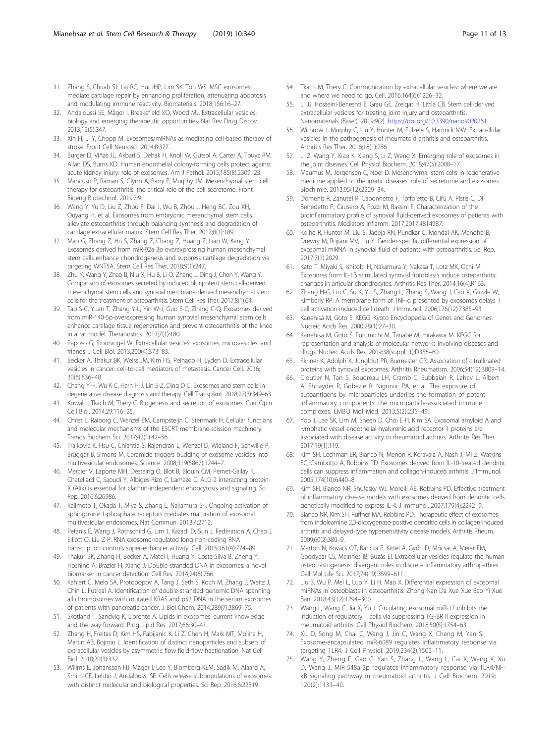- <span id="page-10-0"></span>31. Zhang S, Chuah SJ, Lai RC, Hui JHP, Lim SK, Toh WS. MSC exosomes mediate cartilage repair by enhancing proliferation, attenuating apoptosis and modulating immune reactivity. Biomaterials. 2018;156:16–27.
- 32. Andaloussi SE, Mäger I, Breakefield XO, Wood MJ. Extracellular vesicles: biology and emerging therapeutic opportunities. Nat Rev Drug Discov. 2013;12(5):347.
- 33. Xin H, Li Y, Chopp M. Exosomes/miRNAs as mediating cell-based therapy of stroke. Front Cell Neurosci. 2014;8:377.
- 34. Burger D, Viñas JL, Akbari S, Dehak H, Knoll W, Gutsol A, Carter A, Touyz RM, Allan DS, Burns KD. Human endothelial colony-forming cells protect against acute kidney injury: role of exosomes. Am J Pathol. 2015;185(8):2309–23.
- 35. Mancuso P, Raman S, Glynn A, Barry F, Murphy JM. Mesenchymal stem cell therapy for osteoarthritis: the critical role of the cell secretome. Front Bioeng Biotechnol. 2019;7:9.
- 36. Wang Y, Yu D, Liu Z, Zhou F, Dai J, Wu B, Zhou J, Heng BC, Zou XH, Ouyang H, et al. Exosomes from embryonic mesenchymal stem cells alleviate osteoarthritis through balancing synthesis and degradation of cartilage extracellular matrix. Stem Cell Res Ther. 2017;8(1):189.
- 37. Mao G, Zhang Z, Hu S, Zhang Z, Chang Z, Huang Z, Liao W, Kang Y. Exosomes derived from miR-92a-3p-overexpressing human mesenchymal stem cells enhance chondrogenesis and suppress cartilage degradation via targeting WNT5A. Stem Cell Res Ther. 2018;9(1):247.
- 38. Zhu Y, Wang Y, Zhao B, Niu X, Hu B, Li Q, Zhang J, Ding J, Chen Y, Wang Y. Comparison of exosomes secreted by induced pluripotent stem cell-derived mesenchymal stem cells and synovial membrane-derived mesenchymal stem cells for the treatment of osteoarthritis. Stem Cell Res Ther. 2017;8(1):64.
- 39. Tao S-C, Yuan T, Zhang Y-L, Yin W-J, Guo S-C, Zhang C-Q. Exosomes derived from miR-140-5p-overexpressing human synovial mesenchymal stem cells enhance cartilage tissue regeneration and prevent osteoarthritis of the knee in a rat model. Theranostics. 2017;7(1):180.
- 40. Raposo G, Stoorvogel W. Extracellular vesicles: exosomes, microvesicles, and friends. J Cell Biol. 2013;200(4):373–83.
- 41. Becker A, Thakur BK, Weiss JM, Kim HS, Peinado H, Lyden D. Extracellular vesicles in cancer: cell-to-cell mediators of metastasis. Cancer Cell. 2016; 30(6):836–48.
- 42. Chang Y-H, Wu K-C, Harn H-J, Lin S-Z, Ding D-C. Exosomes and stem cells in degenerative disease diagnosis and therapy. Cell Transplant. 2018;27(3):349–63.
- 43. Kowal J, Tkach M, Théry C. Biogenesis and secretion of exosomes. Curr Opin Cell Biol. 2014;29:116–25.
- 44. Christ L, Raiborg C, Wenzel EM, Campsteijn C, Stenmark H. Cellular functions and molecular mechanisms of the ESCRT membrane-scission machinery. Trends Biochem Sci. 2017;42(1):42–56.
- 45. Trajkovic K, Hsu C, Chiantia S, Rajendran L, Wenzel D, Wieland F, Schwille P, Brügger B, Simons M. Ceramide triggers budding of exosome vesicles into multivesicular endosomes. Science. 2008;319(5867):1244–7.
- 46. Mercier V, Laporte MH, Destaing O, Blot B, Blouin CM, Pernet-Gallay K, Chatellard C, Saoudi Y, Albiges-Rizo C, Lamaze C. ALG-2 interacting protein-X (Alix) is essential for clathrin-independent endocytosis and signaling. Sci Rep. 2016;6:26986.
- 47. Kajimoto T, Okada T, Miya S, Zhang L, Nakamura S-I. Ongoing activation of sphingosine 1-phosphate receptors mediates maturation of exosomal multivesicular endosomes. Nat Commun. 2013;4:2712.
- 48. Pefanis E, Wang J, Rothschild G, Lim J, Kazadi D, Sun J, Federation A, Chao J, Elliott O, Liu Z-P. RNA exosome-regulated long non-coding RNA transcription controls super-enhancer activity. Cell. 2015;161(4):774–89.
- 49. Thakur BK, Zhang H, Becker A, Matei I, Huang Y, Costa-Silva B, Zheng Y, Hoshino A, Brazier H, Xiang J. Double-stranded DNA in exosomes: a novel biomarker in cancer detection. Cell Res. 2014;24(6):766.
- 50. Kahlert C, Melo SA, Protopopov A, Tang J, Seth S, Koch M, Zhang J, Weitz J, Chin L, Futreal A. Identification of double-stranded genomic DNA spanning all chromosomes with mutated KRAS and p53 DNA in the serum exosomes of patients with pancreatic cancer. J Biol Chem. 2014;289(7):3869–75.
- 51. Skotland T, Sandvig K, Llorente A. Lipids in exosomes: current knowledge and the way forward. Prog Lipid Res. 2017;66:30–41.
- 52. Zhang H, Freitas D, Kim HS, Fabijanic K, Li Z, Chen H, Mark MT, Molina H, Martin AB, Bojmar L. Identification of distinct nanoparticles and subsets of extracellular vesicles by asymmetric flow field-flow fractionation. Nat Cell Biol. 2018;20(3):332.
- 53. Willms E, Johansson HJ, Mäger I, Lee Y, Blomberg KEM, Sadik M, Alaarg A, Smith CE, Lehtiö J, Andaloussi SE. Cells release subpopulations of exosomes with distinct molecular and biological properties. Sci Rep. 2016;6:22519.
- 54. Tkach M, Thery C. Communication by extracellular vesicles: where we are and where we need to go. Cell. 2016;164(6):1226–32.
- 55. Li JJ, Hosseini-Beheshti E, Grau GE, Zreiqat H, Little CB. Stem cell-derived extracellular vesicles for treating joint injury and osteoarthritis. Nanomaterials (Basel). 2019;9(2). <https://doi.org/10.3390/nano9020261>.
- 56. Withrow J, Murphy C, Liu Y, Hunter M, Fulzele S, Hamrick MW. Extracellular vesicles in the pathogenesis of rheumatoid arthritis and osteoarthritis. Arthritis Res Ther. 2016;18(1):286.
- 57. Li Z, Wang Y, Xiao K, Xiang S, Li Z, Weng X. Emerging role of exosomes in the joint diseases. Cell Physiol Biochem. 2018;47(5):2008–17.
- 58. Maumus M, Jorgensen C, Noel D. Mesenchymal stem cells in regenerative medicine applied to rheumatic diseases: role of secretome and exosomes. Biochimie. 2013;95(12):2229–34.
- 59. Domenis R, Zanutel R, Caponnetto F, Toffoletto B, Cifù A, Pistis C, Di Benedetto P, Causero A, Pozzi M, Bassini F. Characterization of the proinflammatory profile of synovial fluid-derived exosomes of patients with osteoarthritis. Mediators Inflamm. 2017;2017:4814987.
- Kolhe R, Hunter M, Liu S, Jadeja RN, Pundkar C, Mondal AK, Mendhe B, Drewry M, Rojiani MV, Liu Y. Gender-specific differential expression of exosomal miRNA in synovial fluid of patients with osteoarthritis. Sci Rep. 2017;7(1):2029.
- 61. Kato T, Miyaki S, Ishitobi H, Nakamura Y, Nakasa T, Lotz MK, Ochi M. Exosomes from IL-1β stimulated synovial fibroblasts induce osteoarthritic changes in articular chondrocytes. Arthritis Res Ther. 2014;16(4):R163.
- Zhang H-G, Liu C, Su K, Yu S, Zhang L, Zhang S, Wang J, Cao X, Grizzle W, Kimberly RP. A membrane form of TNF-α presented by exosomes delays T cell activation-induced cell death. J Immunol. 2006;176(12):7385–93.
- 63. Kanehisa M, Goto S. KEGG: Kyoto Encyclopedia of Genes and Genomes. Nucleic Acids Res. 2000;28(1):27–30.
- 64. Kanehisa M, Goto S, Furumichi M, Tanabe M, Hirakawa M. KEGG for representation and analysis of molecular networks involving diseases and drugs. Nucleic Acids Res. 2009;38(suppl\_1):D355–60.
- 65. Skriner K, Adolph K, Jungblut PR, Burmester GR. Association of citrullinated proteins with synovial exosomes. Arthritis Rheumatism. 2006;54(12):3809–14.
- 66. Cloutier N, Tan S, Boudreau LH, Cramb C, Subbaiah R, Lahey L, Albert A, Shnayder R, Gobezie R, Nigrovic PA, et al. The exposure of autoantigens by microparticles underlies the formation of potent inflammatory components: the microparticle-associated immune complexes. EMBO Mol Med. 2013;5(2):235–49.
- 67. Yoo J, Lee SK, Lim M, Sheen D, Choi E-H, Kim SA. Exosomal amyloid A and lymphatic vessel endothelial hyaluronic acid receptor-1 proteins are associated with disease activity in rheumatoid arthritis. Arthritis Res Ther. 2017;19(1):119.
- 68. Kim SH, Lechman ER, Bianco N, Menon R, Keravala A, Nash J, Mi Z, Watkins SC, Gambotto A, Robbins PD. Exosomes derived from IL-10-treated dendritic cells can suppress inflammation and collagen-induced arthritis. J Immunol. 2005;174(10):6440–8.
- 69. Kim SH, Bianco NR, Shufesky WJ, Morelli AE, Robbins PD. Effective treatment of inflammatory disease models with exosomes derived from dendritic cells genetically modified to express IL-4. J Immunol. 2007;179(4):2242–9.
- 70. Bianco NR, Kim SH, Ruffner MA, Robbins PD. Therapeutic effect of exosomes from indoleamine 2,3-dioxygenase-positive dendritic cells in collagen-induced arthritis and delayed-type hypersensitivity disease models. Arthritis Rheum. 2009;60(2):380–9.
- 71. Marton N, Kovács OT, Baricza E, Kittel Á, Győri D, Mócsai A, Meier FM, Goodyear CS, McInnes IB, Buzás EI. Extracellular vesicles regulate the human osteoclastogenesis: divergent roles in discrete inflammatory arthropathies. Cell Mol Life Sci. 2017;74(19):3599–611.
- 72. Liu B, Wu P, Mei L, Luo Y, Li H, Mao X. Differential expression of exosomal miRNAs in osteoblasts in osteoarthritis. Zhong Nan Da Xue Xue Bao Yi Xue Ban. 2018;43(12):1294–300.
- 73. Wang L, Wang C, Jia X, Yu J. Circulating exosomal miR-17 inhibits the induction of regulatory T cells via suppressing TGFBR II expression in rheumatoid arthritis. Cell Physiol Biochem. 2018;50(5):1754–63.
- 74. Xu D, Song M, Chai C, Wang J, Jin C, Wang X, Cheng M, Yan S. Exosome-encapsulated miR-6089 regulates inflammatory response via targeting TLR4. J Cell Physiol. 2019;234(2):1502–11.
- 75. Wang Y, Zheng F, Gao G, Yan S, Zhang L, Wang L, Cai X, Wang X, Xu D, Wang J. MiR-548a-3p regulates inflammatory response via TLR4/NFκB signaling pathway in rheumatoid arthritis. J Cell Biochem. 2019; 120(2):1133–40.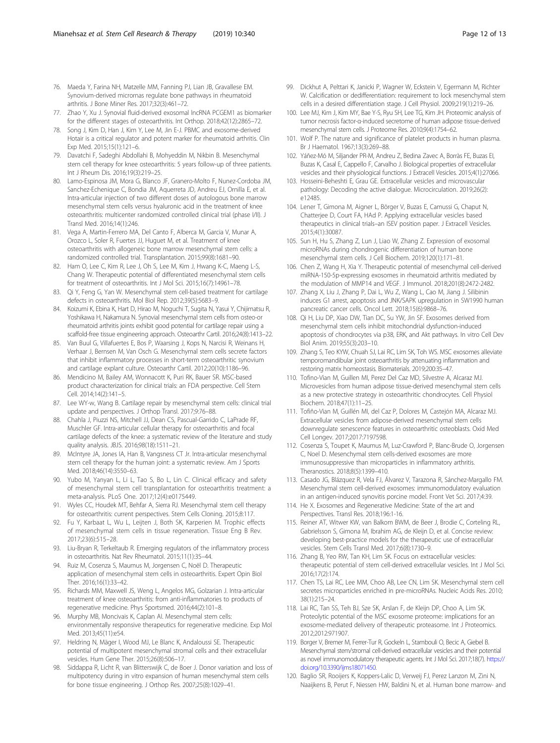- <span id="page-11-0"></span>76. Maeda Y, Farina NH, Matzelle MM, Fanning PJ, Lian JB, Gravallese EM. Synovium-derived micrornas regulate bone pathways in rheumatoid arthritis. J Bone Miner Res. 2017;32(3):461–72.
- 77. Zhao Y, Xu J. Synovial fluid-derived exosomal lncRNA PCGEM1 as biomarker for the different stages of osteoarthritis. Int Orthop. 2018;42(12):2865–72.
- 78. Song J, Kim D, Han J, Kim Y, Lee M, Jin E-J. PBMC and exosome-derived Hotair is a critical regulator and potent marker for rheumatoid arthritis. Clin Exp Med. 2015;15(1):121–6.
- 79. Davatchi F, Sadeghi Abdollahi B, Mohyeddin M, Nikbin B. Mesenchymal stem cell therapy for knee osteoarthritis: 5 years follow-up of three patients. Int J Rheum Dis. 2016;19(3):219–25.
- 80. Lamo-Espinosa JM, Mora G, Blanco JF, Granero-Molto F, Nunez-Cordoba JM, Sanchez-Echenique C, Bondia JM, Aquerreta JD, Andreu EJ, Ornilla E, et al. Intra-articular injection of two different doses of autologous bone marrow mesenchymal stem cells versus hyaluronic acid in the treatment of knee osteoarthritis: multicenter randomized controlled clinical trial (phase I/II). J Transl Med. 2016;14(1):246.
- 81. Vega A, Martin-Ferrero MA, Del Canto F, Alberca M, Garcia V, Munar A, Orozco L, Soler R, Fuertes JJ, Huguet M, et al. Treatment of knee osteoarthritis with allogeneic bone marrow mesenchymal stem cells: a randomized controlled trial. Transplantation. 2015;99(8):1681–90.
- 82. Ham O, Lee C, Kim R, Lee J, Oh S, Lee M, Kim J, Hwang K-C, Maeng L-S, Chang W. Therapeutic potential of differentiated mesenchymal stem cells for treatment of osteoarthritis. Int J Mol Sci. 2015;16(7):14961–78.
- 83. Qi Y, Feng G, Yan W. Mesenchymal stem cell-based treatment for cartilage defects in osteoarthritis. Mol Biol Rep. 2012;39(5):5683–9.
- 84. Koizumi K, Ebina K, Hart D, Hirao M, Noguchi T, Sugita N, Yasui Y, Chijimatsu R, Yoshikawa H, Nakamura N. Synovial mesenchymal stem cells from osteo-or rheumatoid arthritis joints exhibit good potential for cartilage repair using a scaffold-free tissue engineering approach. Osteoarthr Cartil. 2016;24(8):1413–22.
- 85. Van Buul G, Villafuertes E, Bos P, Waarsing J, Kops N, Narcisi R, Weinans H, Verhaar J, Bernsen M, Van Osch G. Mesenchymal stem cells secrete factors that inhibit inflammatory processes in short-term osteoarthritic synovium and cartilage explant culture. Osteoarthr Cartil. 2012;20(10):1186–96.
- 86. Mendicino M, Bailey AM, Wonnacott K, Puri RK, Bauer SR. MSC-based product characterization for clinical trials: an FDA perspective. Cell Stem Cell. 2014;14(2):141–5.
- 87. Lee WY-w, Wang B. Cartilage repair by mesenchymal stem cells: clinical trial update and perspectives. J Orthop Transl. 2017;9:76–88.
- 88. Chahla J, Piuzzi NS, Mitchell JJ, Dean CS, Pascual-Garrido C, LaPrade RF, Muschler GF. Intra-articular cellular therapy for osteoarthritis and focal cartilage defects of the knee: a systematic review of the literature and study quality analysis. JBJS. 2016;98(18):1511–21.
- 89. McIntyre JA, Jones IA, Han B, Vangsness CT Jr. Intra-articular mesenchymal stem cell therapy for the human joint: a systematic review. Am J Sports Med. 2018;46(14):3550–63.
- 90. Yubo M, Yanyan L, Li L, Tao S, Bo L, Lin C. Clinical efficacy and safety of mesenchymal stem cell transplantation for osteoarthritis treatment: a meta-analysis. PLoS One. 2017;12(4):e0175449.
- 91. Wyles CC, Houdek MT, Behfar A, Sierra RJ. Mesenchymal stem cell therapy for osteoarthritis: current perspectives. Stem Cells Cloning. 2015;8:117.
- 92. Fu Y, Karbaat L, Wu L, Leijten J, Both SK, Karperien M. Trophic effects of mesenchymal stem cells in tissue regeneration. Tissue Eng B Rev. 2017;23(6):515–28.
- 93. Liu-Bryan R, Terkeltaub R. Emerging regulators of the inflammatory process in osteoarthritis. Nat Rev Rheumatol. 2015;11(1):35–44.
- 94. Ruiz M, Cosenza S, Maumus M, Jorgensen C, Noël D. Therapeutic application of mesenchymal stem cells in osteoarthritis. Expert Opin Biol Ther. 2016;16(1):33–42.
- 95. Richards MM, Maxwell JS, Weng L, Angelos MG, Golzarian J. Intra-articular treatment of knee osteoarthritis: from anti-inflammatories to products of regenerative medicine. Phys Sportsmed. 2016;44(2):101–8.
- 96. Murphy MB, Moncivais K, Caplan AI. Mesenchymal stem cells: environmentally responsive therapeutics for regenerative medicine. Exp Mol Med. 2013;45(11):e54.
- 97. Heldring N, Mäger I, Wood MJ, Le Blanc K, Andaloussi SE. Therapeutic potential of multipotent mesenchymal stromal cells and their extracellular vesicles. Hum Gene Ther. 2015;26(8):506–17.
- 98. Siddappa R, Licht R, van Blitterswijk C, de Boer J. Donor variation and loss of multipotency during in vitro expansion of human mesenchymal stem cells for bone tissue engineering. J Orthop Res. 2007;25(8):1029–41.
- 99. Dickhut A, Pelttari K, Janicki P, Wagner W, Eckstein V, Egermann M, Richter W. Calcification or dedifferentiation: requirement to lock mesenchymal stem cells in a desired differentiation stage. J Cell Physiol. 2009;219(1):219–26.
- 100. Lee MJ, Kim J, Kim MY, Bae Y-S, Ryu SH, Lee TG, Kim JH. Proteomic analysis of tumor necrosis factor-α-induced secretome of human adipose tissue-derived mesenchymal stem cells. J Proteome Res. 2010;9(4):1754–62.
- 101. Wolf P. The nature and significance of platelet products in human plasma. Br J Haematol. 1967;13(3):269–88.
- 102. Yáñez-Mó M, Siljander PR-M, Andreu Z, Bedina Zavec A, Borràs FE, Buzas EI, Buzas K, Casal E, Cappello F, Carvalho J. Biological properties of extracellular vesicles and their physiological functions. J Extracell Vesicles. 2015;4(1):27066.
- 103. Hosseini-Beheshti E, Grau GE. Extracellular vesicles and microvascular pathology: Decoding the active dialogue. Microcirculation. 2019;26(2): e12485.
- 104. Lener T, Gimona M, Aigner L, Börger V, Buzas E, Camussi G, Chaput N, Chatterjee D, Court FA, HAd P. Applying extracellular vesicles based therapeutics in clinical trials–an ISEV position paper. J Extracell Vesicles. 2015;4(1):30087.
- 105. Sun H, Hu S, Zhang Z, Lun J, Liao W, Zhang Z. Expression of exosomal microRNAs during chondrogenic differentiation of human bone mesenchymal stem cells. J Cell Biochem. 2019;120(1):171–81.
- 106. Chen Z, Wang H, Xia Y. Therapeutic potential of mesenchymal cell-derived miRNA-150-5p-expressing exosomes in rheumatoid arthritis mediated by the modulation of MMP14 and VEGF. J Immunol. 2018;201(8):2472-2482.
- 107. Zhang X, Liu J, Zhang P, Dai L, Wu Z, Wang L, Cao M, Jiang J. Silibinin induces G1 arrest, apoptosis and JNK/SAPK upregulation in SW1990 human pancreatic cancer cells. Oncol Lett. 2018;15(6):9868–76.
- 108. Qi H, Liu DP, Xiao DW, Tian DC, Su YW, Jin SF. Exosomes derived from mesenchymal stem cells inhibit mitochondrial dysfunction-induced apoptosis of chondrocytes via p38, ERK, and Akt pathways. In vitro Cell Dev Biol Anim. 2019;55(3):203–10.
- 109. Zhang S, Teo KYW, Chuah SJ, Lai RC, Lim SK, Toh WS. MSC exosomes alleviate temporomandibular joint osteoarthritis by attenuating inflammation and restoring matrix homeostasis. Biomaterials. 2019;200:35–47.
- 110. Tofino-Vian M, Guillen MI, Perez Del Caz MD, Silvestre A, Alcaraz MJ. Microvesicles from human adipose tissue-derived mesenchymal stem cells as a new protective strategy in osteoarthritic chondrocytes. Cell Physiol Biochem. 2018;47(1):11–25.
- 111. Tofiño-Vian M, Guillén MI, del Caz P, Dolores M, Castejón MA, Alcaraz MJ. Extracellular vesicles from adipose-derived mesenchymal stem cells downregulate senescence features in osteoarthritic osteoblasts. Oxid Med Cell Longev. 2017;2017:7197598.
- 112. Cosenza S, Toupet K, Maumus M, Luz-Crawford P, Blanc-Brude O, Jorgensen C, Noel D. Mesenchymal stem cells-derived exosomes are more immunosuppressive than microparticles in inflammatory arthritis. Theranostics. 2018;8(5):1399–410.
- 113. Casado JG, Blázquez R, Vela FJ, Álvarez V, Tarazona R, Sánchez-Margallo FM. Mesenchymal stem cell-derived exosomes: immunomodulatory evaluation in an antigen-induced synovitis porcine model. Front Vet Sci. 2017;4:39.
- 114. He X. Exosomes and Regenerative Medicine: State of the art and Perspectives. Transl Res. 2018;196:1-16.
- 115. Reiner AT, Witwer KW, van Balkom BWM, de Beer J, Brodie C, Corteling RL, Gabrielsson S, Gimona M, Ibrahim AG, de Kleijn D, et al. Concise review: developing best-practice models for the therapeutic use of extracellular vesicles. Stem Cells Transl Med. 2017;6(8):1730–9.
- 116. Zhang B, Yeo RW, Tan KH, Lim SK. Focus on extracellular vesicles: therapeutic potential of stem cell-derived extracellular vesicles. Int J Mol Sci. 2016;17(2):174.
- 117. Chen TS, Lai RC, Lee MM, Choo AB, Lee CN, Lim SK. Mesenchymal stem cell secretes microparticles enriched in pre-microRNAs. Nucleic Acids Res. 2010; 38(1):215–24.
- 118. Lai RC, Tan SS, Teh BJ, Sze SK, Arslan F, de Kleijn DP, Choo A, Lim SK. Proteolytic potential of the MSC exosome proteome: implications for an exosome-mediated delivery of therapeutic proteasome. Int J Proteomics. 2012;2012:971907.
- 119. Borger V, Bremer M, Ferrer-Tur R, Gockeln L, Stambouli O, Becic A, Giebel B. Mesenchymal stem/stromal cell-derived extracellular vesicles and their potential as novel immunomodulatory therapeutic agents. Int J Mol Sci. 2017;18(7). [https://](https://doi.org/10.3390/ijms18071450) [doi.org/10.3390/ijms18071450.](https://doi.org/10.3390/ijms18071450)
- 120. Baglio SR, Rooijers K, Koppers-Lalic D, Verweij FJ, Perez Lanzon M, Zini N, Naaijkens B, Perut F, Niessen HW, Baldini N, et al. Human bone marrow- and